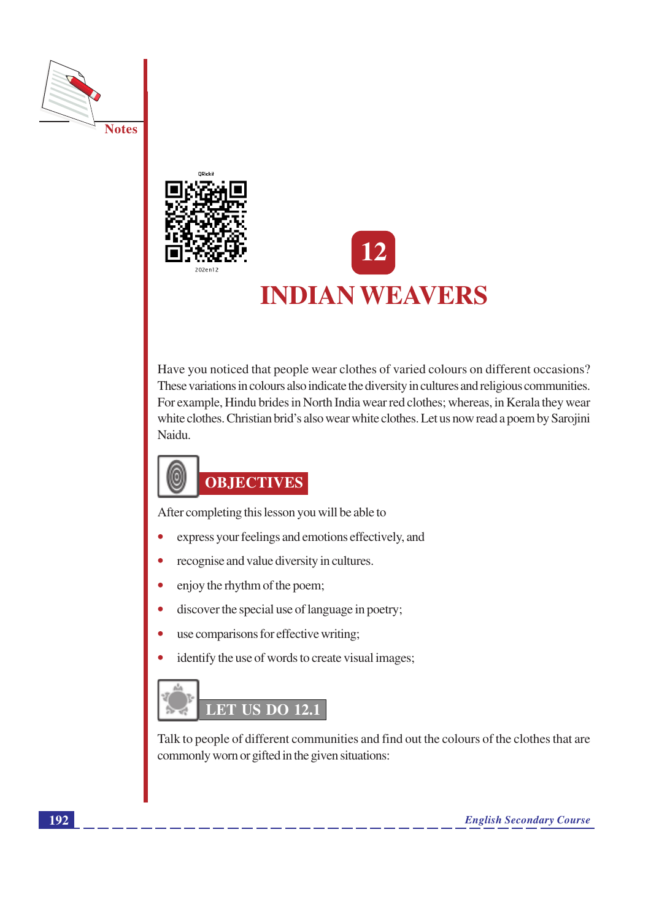



# **INDIAN WEAVERS**

Have you noticed that people wear clothes of varied colours on different occasions? These variations in colours also indicate the diversity in cultures and religious communities. For example, Hindu brides in North India wear red clothes; whereas, in Kerala they wear white clothes. Christian brid's also wear white clothes. Let us now read a poem by Sarojini Naidu.



After completing this lesson you will be able to

- express your feelings and emotions effectively, and
- recognise and value diversity in cultures.  $\bullet$
- enjoy the rhythm of the poem;  $\bullet$
- discover the special use of language in poetry;  $\bullet$
- use comparisons for effective writing;
- identify the use of words to create visual images;



Talk to people of different communities and find out the colours of the clothes that are commonly worn or gifted in the given situations: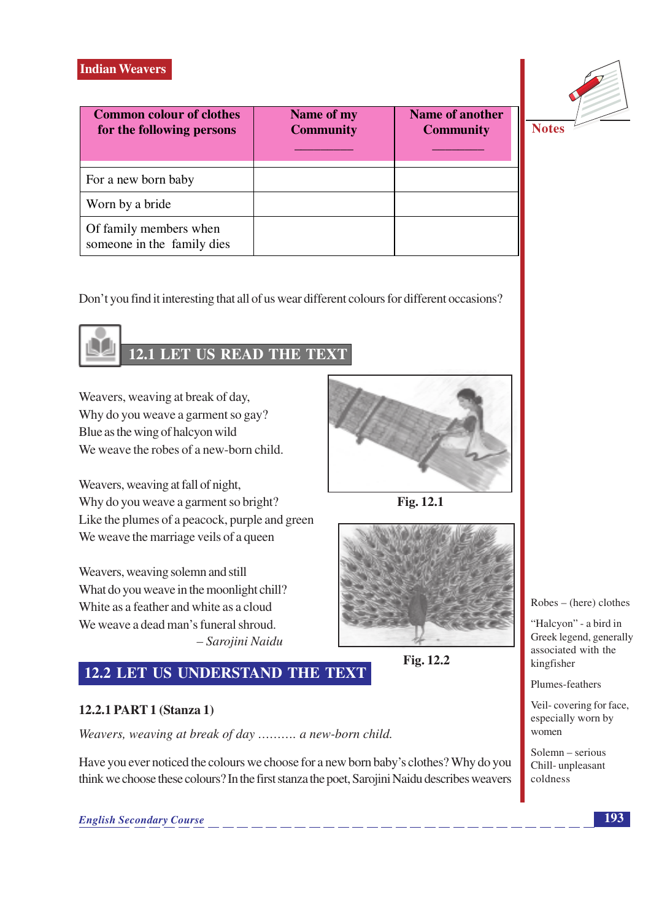| <b>Common colour of clothes</b><br>for the following persons | Name of my<br><b>Community</b> | Name of another<br><b>Community</b> |  |
|--------------------------------------------------------------|--------------------------------|-------------------------------------|--|
| For a new born baby                                          |                                |                                     |  |
| Worn by a bride                                              |                                |                                     |  |
| Of family members when<br>someone in the family dies         |                                |                                     |  |



Jotes

Don't you find it interesting that all of us wear different colours for different occasions?



# **12.1 LET US READ THE TEXT**

Weavers, weaving at break of day, Why do you weave a garment so gay? Blue as the wing of halcyon wild We weave the robes of a new-born child.

Weavers, weaving at fall of night, Why do you weave a garment so bright? Like the plumes of a peacock, purple and green We weave the marriage veils of a queen

Weavers, weaving solemn and still What do you weave in the moonlight chill? White as a feather and white as a cloud We weave a dead man's funeral shroud. - Sarojini Naidu



Fig. 12.1



Fig. 12.2

# 12.2 LET US UNDERSTAND THE TEXT

# 12.2.1 PART 1 (Stanza 1)

Weavers, weaving at break of day .......... a new-born child.

Have you ever noticed the colours we choose for a new born baby's clothes? Why do you think we choose these colours? In the first stanza the poet, Sarojini Naidu describes weavers



"Halcyon" - a bird in Greek legend, generally associated with the kingfisher

Plumes-feathers

Veil-covering for face, especially worn by women

Solemn – serious Chill-unpleasant coldness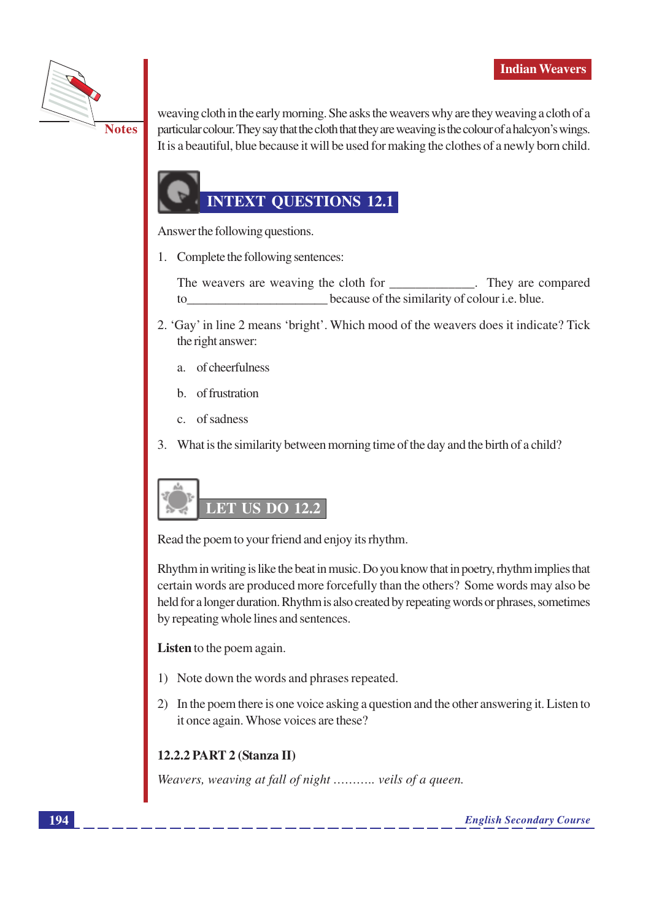

weaving cloth in the early morning. She asks the weavers why are they weaving a cloth of a particular colour. They say that the cloth that they are weaving is the colour of a halcyon's wings. It is a beautiful, blue because it will be used for making the clothes of a newly born child.

# **INTEXT QUESTIONS 12.1**

Answer the following questions.

1. Complete the following sentences:

The weavers are weaving the cloth for They are compared because of the similarity of colour *i.e.* blue. to

- 2. 'Gay' in line 2 means 'bright'. Which mood of the weavers does it indicate? Tick the right answer:
	- a. of cheerfulness
	- $h_{\cdot}$ of frustration
	- c. of sadness
- 3. What is the similarity between morning time of the day and the birth of a child?

# **LET US DO 12.2**

Read the poem to your friend and enjoy its rhythm.

Rhythm in writing is like the beat in music. Do you know that in poetry, rhythm implies that certain words are produced more forcefully than the others? Some words may also be held for a longer duration. Rhythm is also created by repeating words or phrases, sometimes by repeating whole lines and sentences.

Listen to the poem again.

- 1) Note down the words and phrases repeated.
- 2) In the poem there is one voice asking a question and the other answering it. Listen to it once again. Whose voices are these?

# 12.2.2 PART 2 (Stanza II)

Weavers, weaving at fall of night ........... veils of a queen.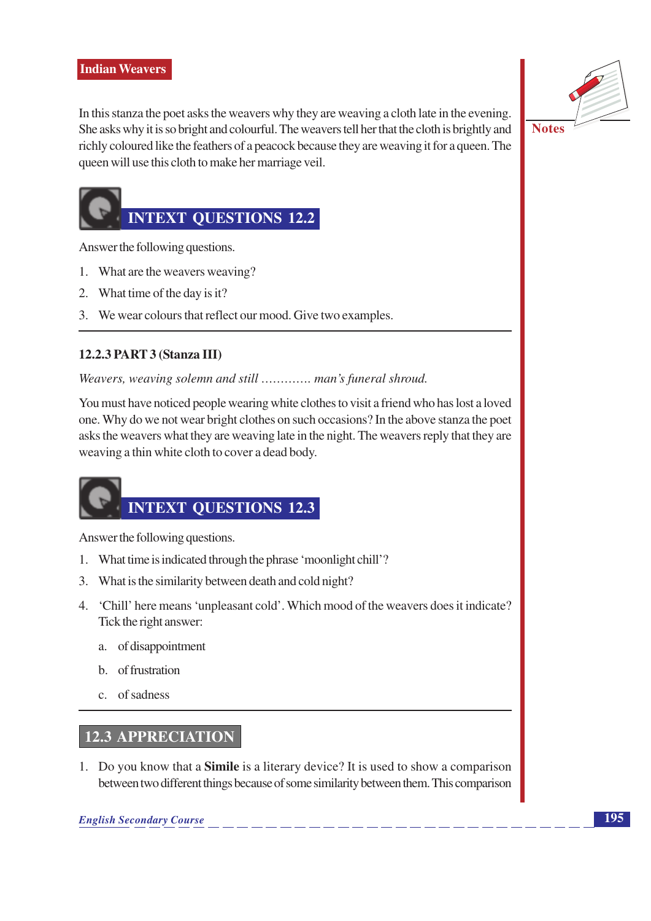

In this stanza the poet asks the weavers why they are weaving a cloth late in the evening. She asks why it is so bright and colourful. The weavers tell her that the cloth is brightly and richly coloured like the feathers of a peacock because they are weaving it for a queen. The queen will use this cloth to make her marriage veil.

**Notes** 

# **INTEXT QUESTIONS 12.2**

Answer the following questions.

- 1. What are the weavers weaving?
- 2. What time of the day is it?
- 3. We wear colours that reflect our mood. Give two examples.

# 12.2.3 PART 3 (Stanza III)

Weavers, weaving solemn and still ............. man's funeral shroud.

You must have noticed people wearing white clothes to visit a friend who has lost a loved one. Why do we not wear bright clothes on such occasions? In the above stanza the poet asks the weavers what they are weaving late in the night. The weavers reply that they are weaving a thin white cloth to cover a dead body.

# **INTEXT QUESTIONS 12.3**

Answer the following questions.

- 1. What time is indicated through the phrase 'moonlight chill'?
- 3. What is the similarity between death and cold night?
- 4. 'Chill' here means 'unpleasant cold'. Which mood of the weavers does it indicate? Tick the right answer:
	- a. of disappointment
	- b. of frustration
	- c. of sadness

# **12.3 APPRECIATION**

1. Do you know that a **Simile** is a literary device? It is used to show a comparison between two different things because of some similarity between them. This comparison

**English Secondary Course**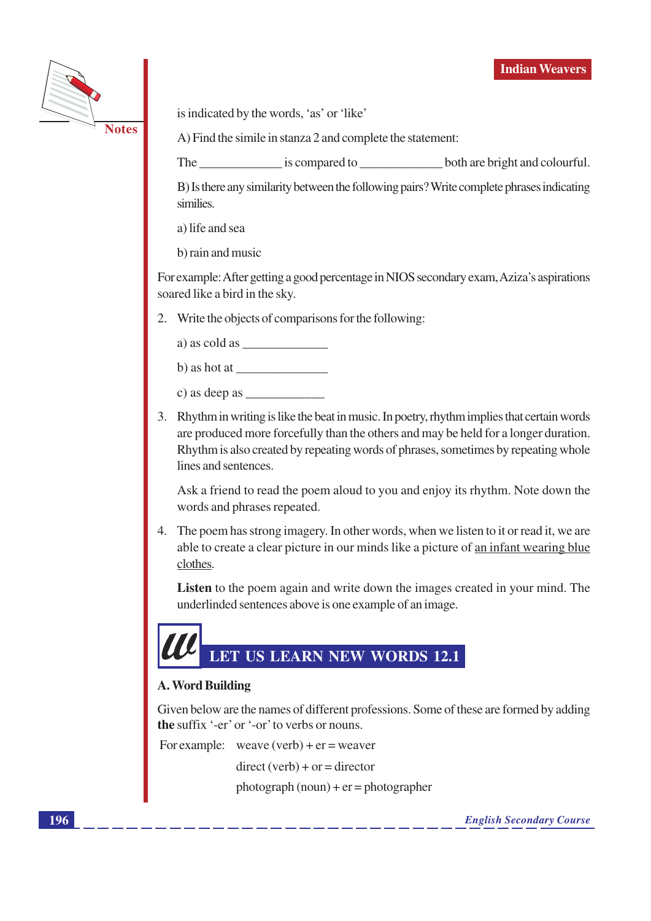

is indicated by the words, 'as' or 'like'

A) Find the simile in stanza 2 and complete the statement:

The is compared to both are bright and colourful.

B) Is there any similarity between the following pairs? Write complete phrases indicating similies.

a) life and sea

b) rain and music

For example: After getting a good percentage in NIOS secondary exam, Aziza's aspirations soared like a bird in the sky.

2. Write the objects of comparisons for the following:

a) as cold as

| b) as hot at |  |
|--------------|--|
|--------------|--|

- c) as deep as
- 3. Rhythm in writing is like the beat in music. In poetry, rhythm implies that certain words are produced more forcefully than the others and may be held for a longer duration. Rhythm is also created by repeating words of phrases, sometimes by repeating whole lines and sentences.

Ask a friend to read the poem aloud to you and enjoy its rhythm. Note down the words and phrases repeated.

4. The poem has strong imagery. In other words, when we listen to it or read it, we are able to create a clear picture in our minds like a picture of an infant wearing blue clothes.

**Listen** to the poem again and write down the images created in your mind. The underlinded sentences above is one example of an image.

# LET US LEARN NEW WORDS 12.1

# **A. Word Building**

Given below are the names of different professions. Some of these are formed by adding the suffix '-er' or '-or' to verbs or nouns.

For example: weave  $(verb) + er = weaver$  $direct (verb) + or = director$  $photograph (noun) + er = photographer$ 

**English Secondary Course**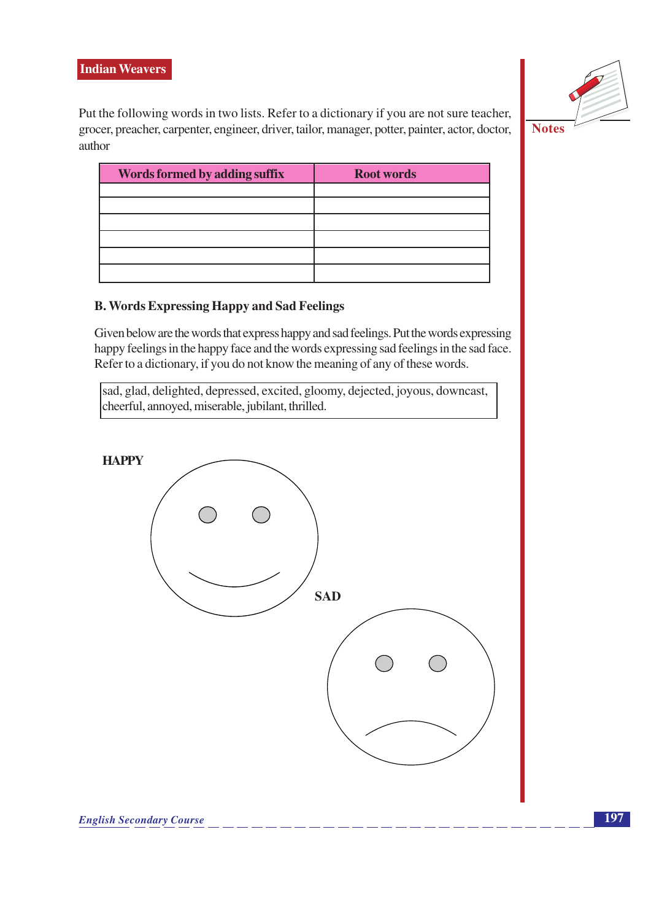

Put the following words in two lists. Refer to a dictionary if you are not sure teacher, grocer, preacher, carpenter, engineer, driver, tailor, manager, potter, painter, actor, doctor, author

| Words formed by adding suffix | <b>Root words</b> |
|-------------------------------|-------------------|
|                               |                   |
|                               |                   |
|                               |                   |
|                               |                   |
|                               |                   |
|                               |                   |

# **B. Words Expressing Happy and Sad Feelings**

Given below are the words that express happy and sad feelings. Put the words expressing happy feelings in the happy face and the words expressing sad feelings in the sad face. Refer to a dictionary, if you do not know the meaning of any of these words.

sad, glad, delighted, depressed, excited, gloomy, dejected, joyous, downcast, cheerful, annoyed, miserable, jubilant, thrilled.

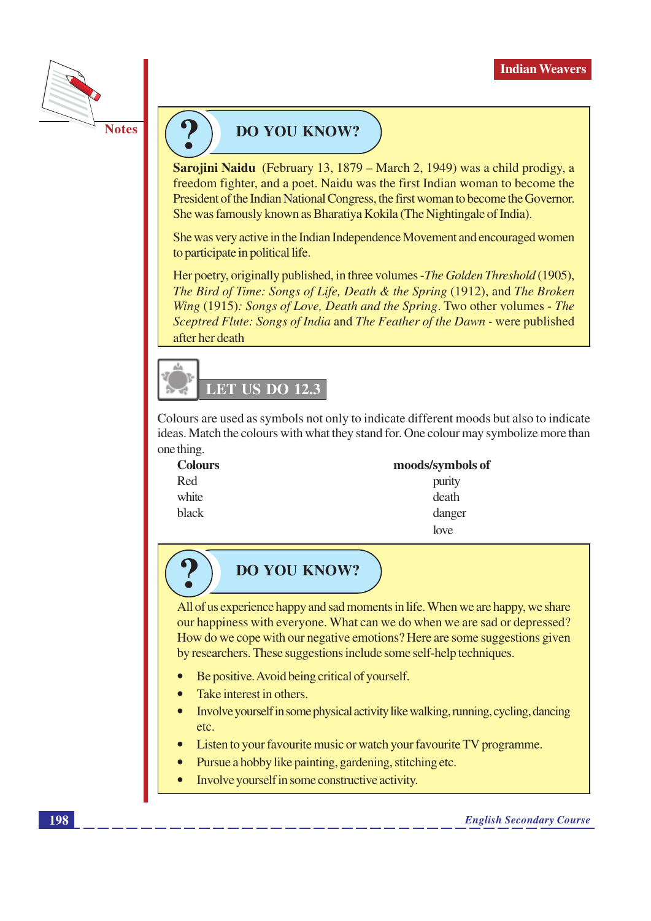

# **DO YOU KNOW?**

Sarojini Naidu (February 13, 1879 – March 2, 1949) was a child prodigy, a freedom fighter, and a poet. Naidu was the first Indian woman to become the President of the Indian National Congress, the first woman to become the Governor. She was famously known as Bharatiya Kokila (The Nightingale of India).

She was very active in the Indian Independence Movement and encouraged women to participate in political life.

Her poetry, originally published, in three volumes - The Golden Threshold (1905), The Bird of Time: Songs of Life, Death & the Spring (1912), and The Broken Wing (1915): Songs of Love, Death and the Spring. Two other volumes - The Sceptred Flute: Songs of India and The Feather of the Dawn - were published after her death



Colours are used as symbols not only to indicate different moods but also to indicate ideas. Match the colours with what they stand for. One colour may symbolize more than one thing.

danger  $love$ 

| <b>Colours</b> | moods/symbols of |
|----------------|------------------|
| Red            | purity           |
| white          | death            |
| black          | danger           |
|                | 1.               |

# **DO YOU KNOW?**

All of us experience happy and sad moments in life. When we are happy, we share our happiness with everyone. What can we do when we are sad or depressed? How do we cope with our negative emotions? Here are some suggestions given by researchers. These suggestions include some self-help techniques.

- Be positive. Avoid being critical of yourself.
- Take interest in others.
- Involve yourself in some physical activity like walking, running, cycling, dancing etc.
- Listen to your favourite music or watch your favourite TV programme.
- Pursue a hobby like painting, gardening, stitching etc.
- Involve yourself in some constructive activity.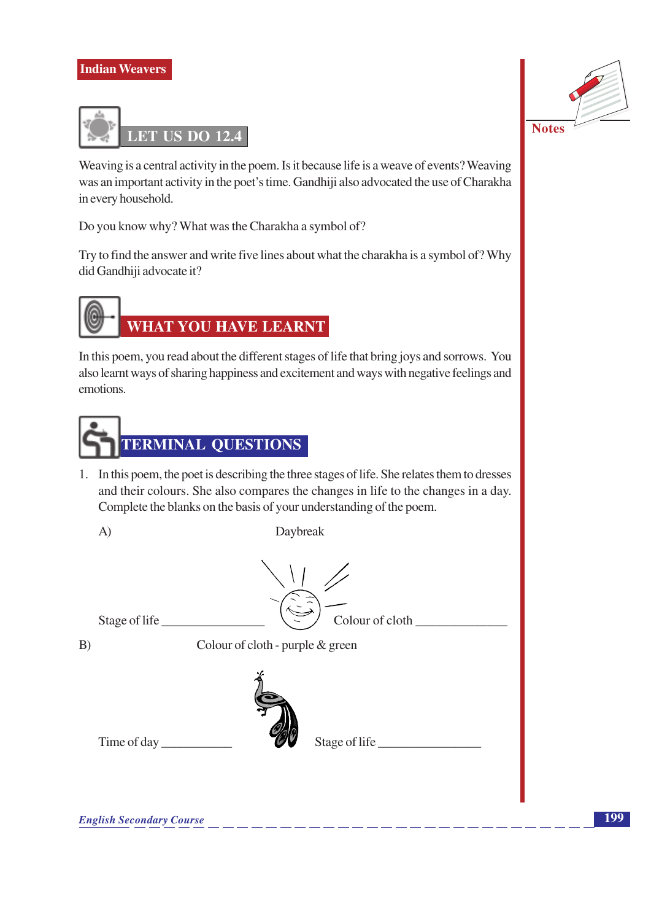

Weaving is a central activity in the poem. Is it because life is a weave of events? Weaving was an important activity in the poet's time. Gandhiji also advocated the use of Charakha in every household.

Do you know why? What was the Charakha a symbol of?

Try to find the answer and write five lines about what the charakha is a symbol of? Why did Gandhiji advocate it?



In this poem, you read about the different stages of life that bring joys and sorrows. You also learnt ways of sharing happiness and excitement and ways with negative feelings and emotions.



1. In this poem, the poet is describing the three stages of life. She relates them to dresses and their colours. She also compares the changes in life to the changes in a day. Complete the blanks on the basis of your understanding of the poem.



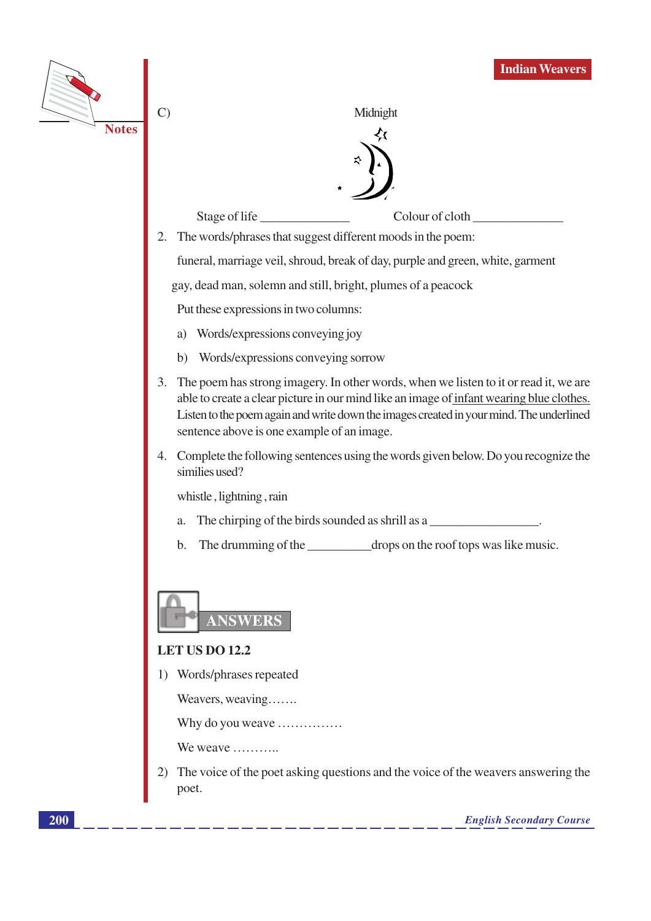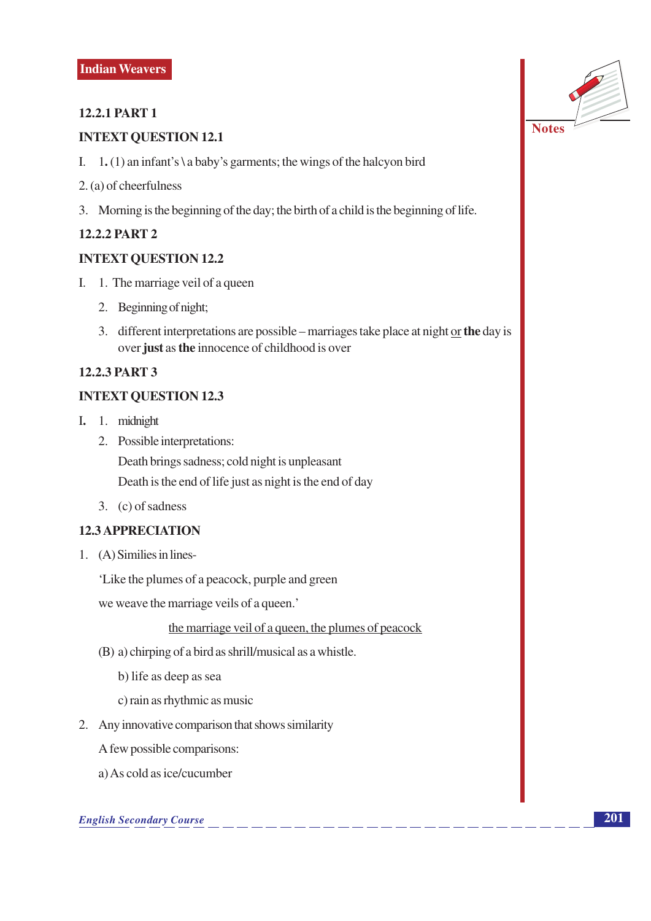# **12.2.1 PART 1**

# **INTEXT QUESTION 12.1**

- I. 1. (1) an infant's \ a baby's garments; the wings of the halcyon bird
- 2. (a) of cheerfulness
- 3. Morning is the beginning of the day; the birth of a child is the beginning of life.

# **12.2.2 PART 2**

#### **INTEXT OUESTION 12.2**

- I. 1. The marriage veil of a queen
	- 2. Beginning of night;
	- 3. different interpretations are possible marriages take place at night or the day is over just as the innocence of childhood is over

# **12.2.3 PART 3**

# **INTEXT QUESTION 12.3**

- I. 1. midnight
	- 2. Possible interpretations:

Death brings sadness; cold night is unpleasant

Death is the end of life just as night is the end of day

3. (c) of sadness

# **12.3 APPRECIATION**

1. (A) Similies in lines-

'Like the plumes of a peacock, purple and green

we weave the marriage veils of a queen.'

the marriage veil of a queen, the plumes of peacock

- (B) a) chirping of a bird as shrill/musical as a whistle.
	- b) life as deep as sea
	- c) rain as rhythmic as music
- 2. Any innovative comparison that shows similarity

A few possible comparisons:

a) As cold as ice/cucumber

#### **English Secondary Course**

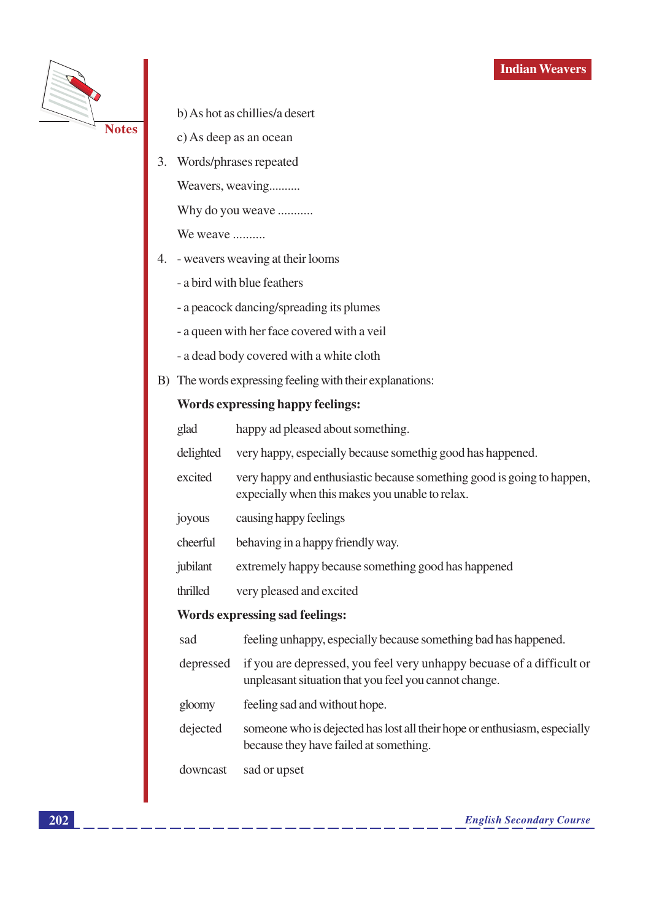

b) As hot as chillies/a desert

- c) As deep as an ocean
- 3. Words/phrases repeated

Weavers, weaving..........

Why do you weave ...........

We weave .........

- 4. weavers weaving at their looms
	- a bird with blue feathers
	- a peacock dancing/spreading its plumes
	- a queen with her face covered with a veil
	- a dead body covered with a white cloth
- B) The words expressing feeling with their explanations:

#### **Words expressing happy feelings:**

happy ad pleased about something. glad

- delighted very happy, especially because somethig good has happened.
- excited very happy and enthusiastic because something good is going to happen, expecially when this makes you unable to relax.
- causing happy feelings joyous
- cheerful behaving in a happy friendly way.
- jubilant extremely happy because something good has happened
- thrilled very pleased and excited

#### **Words expressing sad feelings:**

- sad feeling unhappy, especially because something bad has happened.
- depressed if you are depressed, you feel very unhappy becuase of a difficult or unpleasant situation that you feel you cannot change.
- feeling sad and without hope. gloomy
- dejected someone who is dejected has lost all their hope or enthusiasm, especially because they have failed at something.

downcast sad or upset